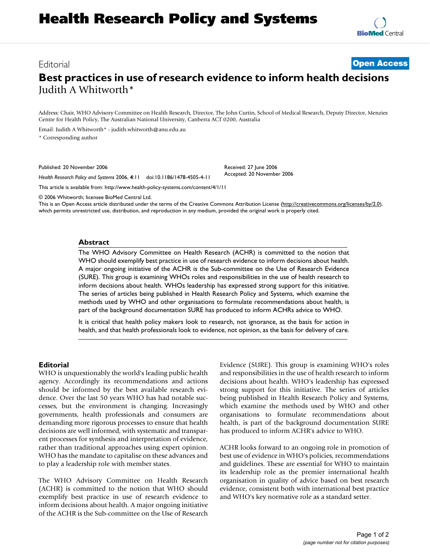## Editorial **[Open Access](http://www.biomedcentral.com/info/about/charter/)**

# **Best practices in use of research evidence to inform health decisions** Judith A Whitworth\*

Address: Chair, WHO Advisory Committee on Health Research, Director, The John Curtin, School of Medical Research, Deputy Director, Menzies Centre for Health Policy, The Australian National University, Canberra ACT 0200, Australia

Email: Judith A Whitworth\* - judith.whitworth@anu.edu.au

\* Corresponding author

Published: 20 November 2006

*Health Research Policy and Systems* 2006, **4**:11 doi:10.1186/1478-4505-4-11

[This article is available from: http://www.health-policy-systems.com/content/4/1/11](http://www.health-policy-systems.com/content/4/1/11)

© 2006 Whitworth; licensee BioMed Central Ltd.

This is an Open Access article distributed under the terms of the Creative Commons Attribution License [\(http://creativecommons.org/licenses/by/2.0\)](http://creativecommons.org/licenses/by/2.0), which permits unrestricted use, distribution, and reproduction in any medium, provided the original work is properly cited.

Received: 27 June 2006 Accepted: 20 November 2006

### **Abstract**

The WHO Advisory Committee on Health Research (ACHR) is committed to the notion that WHO should exemplify best practice in use of research evidence to inform decisions about health. A major ongoing initiative of the ACHR is the Sub-committee on the Use of Research Evidence (SURE). This group is examining WHOs roles and responsibilities in the use of health research to inform decisions about health. WHOs leadership has expressed strong support for this initiative. The series of articles being published in Health Research Policy and Systems, which examine the methods used by WHO and other organisations to formulate recommendations about health, is part of the background documentation SURE has produced to inform ACHRs advice to WHO.

It is critical that health policy makers look to research, not ignorance, as the basis for action in health, and that health professionals look to evidence, not opinion, as the basis for delivery of care.

### **Editorial**

WHO is unquestionably the world's leading public health agency. Accordingly its recommendations and actions should be informed by the best available research evidence. Over the last 50 years WHO has had notable successes, but the environment is changing. Increasingly governments, health professionals and consumers are demanding more rigorous processes to ensure that health decisions are well informed, with systematic and transparent processes for synthesis and interpretation of evidence, rather than traditional approaches using expert opinion. WHO has the mandate to capitalise on these advances and to play a leadership role with member states.

The WHO Advisory Committee on Health Research (ACHR) is committed to the notion that WHO should exemplify best practice in use of research evidence to inform decisions about health. A major ongoing initiative of the ACHR is the Sub-committee on the Use of Research Evidence (SURE). This group is examining WHO's roles and responsibilities in the use of health research to inform decisions about health. WHO's leadership has expressed strong support for this initiative. The series of articles being published in Health Research Policy and Systems, which examine the methods used by WHO and other organisations to formulate recommendations about health, is part of the background documentation SURE has produced to inform ACHR's advice to WHO.

ACHR looks forward to an ongoing role in promotion of best use of evidence in WHO's policies, recommendations and guidelines. These are essential for WHO to maintain its leadership role as the premier international health organisation in quality of advice based on best research evidence, consistent both with international best practice and WHO's key normative role as a standard setter.